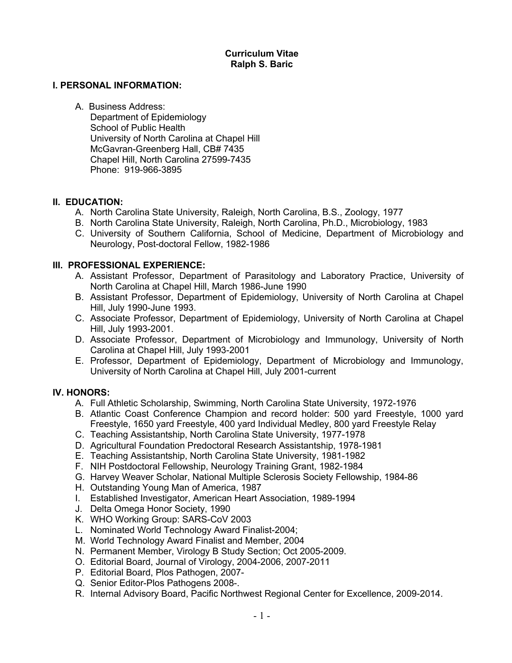## **Curriculum Vitae Ralph S. Baric**

### **I. PERSONAL INFORMATION:**

A. Business Address:

Department of Epidemiology School of Public Health University of North Carolina at Chapel Hill McGavran-Greenberg Hall, CB# 7435 Chapel Hill, North Carolina 27599-7435 Phone: 919-966-3895

## **II. EDUCATION:**

- A. North Carolina State University, Raleigh, North Carolina, B.S., Zoology, 1977
- B. North Carolina State University, Raleigh, North Carolina, Ph.D., Microbiology, 1983
- C. University of Southern California, School of Medicine, Department of Microbiology and Neurology, Post-doctoral Fellow, 1982-1986

## **III. PROFESSIONAL EXPERIENCE:**

- A. Assistant Professor, Department of Parasitology and Laboratory Practice, University of North Carolina at Chapel Hill, March 1986-June 1990
- B. Assistant Professor, Department of Epidemiology, University of North Carolina at Chapel Hill, July 1990-June 1993.
- C. Associate Professor, Department of Epidemiology, University of North Carolina at Chapel Hill, July 1993-2001.
- D. Associate Professor, Department of Microbiology and Immunology, University of North Carolina at Chapel Hill, July 1993-2001
- E. Professor, Department of Epidemiology, Department of Microbiology and Immunology, University of North Carolina at Chapel Hill, July 2001-current

## **IV. HONORS:**

- A. Full Athletic Scholarship, Swimming, North Carolina State University, 1972-1976
- B. Atlantic Coast Conference Champion and record holder: 500 yard Freestyle, 1000 yard Freestyle, 1650 yard Freestyle, 400 yard Individual Medley, 800 yard Freestyle Relay
- C. Teaching Assistantship, North Carolina State University, 1977-1978
- D. Agricultural Foundation Predoctoral Research Assistantship, 1978-1981
- E. Teaching Assistantship, North Carolina State University, 1981-1982
- F. NIH Postdoctoral Fellowship, Neurology Training Grant, 1982-1984
- G. Harvey Weaver Scholar, National Multiple Sclerosis Society Fellowship, 1984-86
- H. Outstanding Young Man of America, 1987
- I. Established Investigator, American Heart Association, 1989-1994
- J. Delta Omega Honor Society, 1990
- K. WHO Working Group: SARS-CoV 2003
- L. Nominated World Technology Award Finalist-2004;
- M. World Technology Award Finalist and Member, 2004
- N. Permanent Member, Virology B Study Section; Oct 2005-2009.
- O. Editorial Board, Journal of Virology, 2004-2006, 2007-2011
- P. Editorial Board, Plos Pathogen, 2007-
- Q. Senior Editor-Plos Pathogens 2008-.
- R. Internal Advisory Board, Pacific Northwest Regional Center for Excellence, 2009-2014.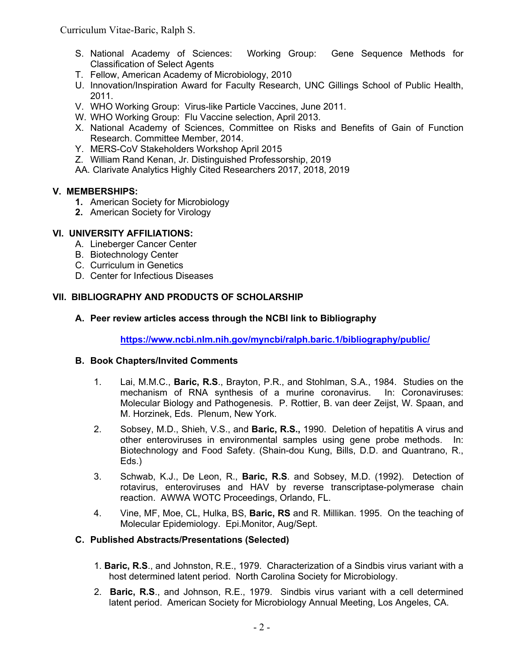Curriculum Vitae-Baric, Ralph S.

- S. National Academy of Sciences: Working Group: Gene Sequence Methods for Classification of Select Agents
- T. Fellow, American Academy of Microbiology, 2010
- U. Innovation/Inspiration Award for Faculty Research, UNC Gillings School of Public Health, 2011.
- V. WHO Working Group: Virus-like Particle Vaccines, June 2011.
- W. WHO Working Group: Flu Vaccine selection, April 2013.
- X. National Academy of Sciences, Committee on Risks and Benefits of Gain of Function Research. Committee Member, 2014.
- Y. MERS-CoV Stakeholders Workshop April 2015
- Z. William Rand Kenan, Jr. Distinguished Professorship, 2019
- AA. Clarivate Analytics Highly Cited Researchers 2017, 2018, 2019

# **V. MEMBERSHIPS:**

- **1.** American Society for Microbiology
- **2.** American Society for Virology

# **VI. UNIVERSITY AFFILIATIONS:**

- A. Lineberger Cancer Center
- B. Biotechnology Center
- C. Curriculum in Genetics
- D. Center for Infectious Diseases

# **VII. BIBLIOGRAPHY AND PRODUCTS OF SCHOLARSHIP**

# **A. Peer review articles access through the NCBI link to Bibliography**

**https://www.ncbi.nlm.nih.gov/myncbi/ralph.baric.1/bibliography/public/**

## **B. Book Chapters/Invited Comments**

- 1. Lai, M.M.C., **Baric, R.S**., Brayton, P.R., and Stohlman, S.A., 1984. Studies on the mechanism of RNA synthesis of a murine coronavirus. In: Coronaviruses: Molecular Biology and Pathogenesis. P. Rottier, B. van deer Zeijst, W. Spaan, and M. Horzinek, Eds. Plenum, New York.
- 2. Sobsey, M.D., Shieh, V.S., and **Baric, R.S.,** 1990. Deletion of hepatitis A virus and other enteroviruses in environmental samples using gene probe methods. In: Biotechnology and Food Safety. (Shain-dou Kung, Bills, D.D. and Quantrano, R., Eds.)
- 3. Schwab, K.J., De Leon, R., **Baric, R.S**. and Sobsey, M.D. (1992). Detection of rotavirus, enteroviruses and HAV by reverse transcriptase-polymerase chain reaction. AWWA WOTC Proceedings, Orlando, FL.
- 4. Vine, MF, Moe, CL, Hulka, BS, **Baric, RS** and R. Millikan. 1995. On the teaching of Molecular Epidemiology. Epi.Monitor, Aug/Sept.

## **C. Published Abstracts/Presentations (Selected)**

- 1. **Baric, R.S**., and Johnston, R.E., 1979. Characterization of a Sindbis virus variant with a host determined latent period. North Carolina Society for Microbiology.
- 2. **Baric, R.S**., and Johnson, R.E., 1979. Sindbis virus variant with a cell determined latent period. American Society for Microbiology Annual Meeting, Los Angeles, CA.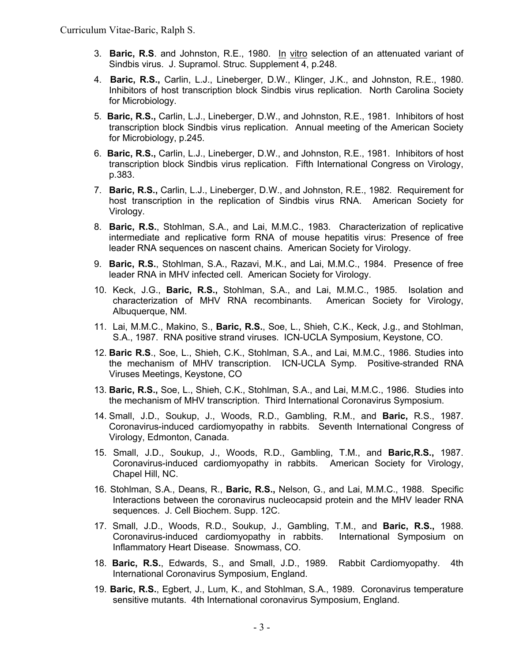- 3. **Baric, R.S**. and Johnston, R.E., 1980. In vitro selection of an attenuated variant of Sindbis virus. J. Supramol. Struc. Supplement 4, p.248.
- 4. **Baric, R.S.,** Carlin, L.J., Lineberger, D.W., Klinger, J.K., and Johnston, R.E., 1980. Inhibitors of host transcription block Sindbis virus replication. North Carolina Society for Microbiology.
- 5. **Baric, R.S.,** Carlin, L.J., Lineberger, D.W., and Johnston, R.E., 1981. Inhibitors of host transcription block Sindbis virus replication. Annual meeting of the American Society for Microbiology, p.245.
- 6. **Baric, R.S.,** Carlin, L.J., Lineberger, D.W., and Johnston, R.E., 1981. Inhibitors of host transcription block Sindbis virus replication. Fifth International Congress on Virology, p.383.
- 7. **Baric, R.S.,** Carlin, L.J., Lineberger, D.W., and Johnston, R.E., 1982. Requirement for host transcription in the replication of Sindbis virus RNA. American Society for Virology.
- 8. **Baric, R.S.**, Stohlman, S.A., and Lai, M.M.C., 1983. Characterization of replicative intermediate and replicative form RNA of mouse hepatitis virus: Presence of free leader RNA sequences on nascent chains. American Society for Virology.
- 9. **Baric, R.S.**, Stohlman, S.A., Razavi, M.K., and Lai, M.M.C., 1984. Presence of free leader RNA in MHV infected cell. American Society for Virology.
- 10. Keck, J.G., **Baric, R.S.,** Stohlman, S.A., and Lai, M.M.C., 1985. Isolation and characterization of MHV RNA recombinants. American Society for Virology, Albuquerque, NM.
- 11. Lai, M.M.C., Makino, S., **Baric, R.S.**, Soe, L., Shieh, C.K., Keck, J.g., and Stohlman, S.A., 1987. RNA positive strand viruses. ICN-UCLA Symposium, Keystone, CO.
- 12. **Baric R.S**., Soe, L., Shieh, C.K., Stohlman, S.A., and Lai, M.M.C., 1986. Studies into the mechanism of MHV transcription. ICN-UCLA Symp. Positive-stranded RNA Viruses Meetings, Keystone, CO
- 13. **Baric, R.S.,** Soe, L., Shieh, C.K., Stohlman, S.A., and Lai, M.M.C., 1986. Studies into the mechanism of MHV transcription. Third International Coronavirus Symposium.
- 14. Small, J.D., Soukup, J., Woods, R.D., Gambling, R.M., and **Baric,** R.S., 1987. Coronavirus-induced cardiomyopathy in rabbits. Seventh International Congress of Virology, Edmonton, Canada.
- 15. Small, J.D., Soukup, J., Woods, R.D., Gambling, T.M., and **Baric,R.S.,** 1987. Coronavirus-induced cardiomyopathy in rabbits. American Society for Virology, Chapel Hill, NC.
- 16. Stohlman, S.A., Deans, R., **Baric, R.S.,** Nelson, G., and Lai, M.M.C., 1988. Specific Interactions between the coronavirus nucleocapsid protein and the MHV leader RNA sequences. J. Cell Biochem. Supp. 12C.
- 17. Small, J.D., Woods, R.D., Soukup, J., Gambling, T.M., and **Baric, R.S.,** 1988. Coronavirus-induced cardiomyopathy in rabbits. International Symposium on Inflammatory Heart Disease. Snowmass, CO.
- 18. **Baric, R.S.**, Edwards, S., and Small, J.D., 1989. Rabbit Cardiomyopathy. 4th International Coronavirus Symposium, England.
- 19. **Baric, R.S.**, Egbert, J., Lum, K., and Stohlman, S.A., 1989. Coronavirus temperature sensitive mutants. 4th International coronavirus Symposium, England.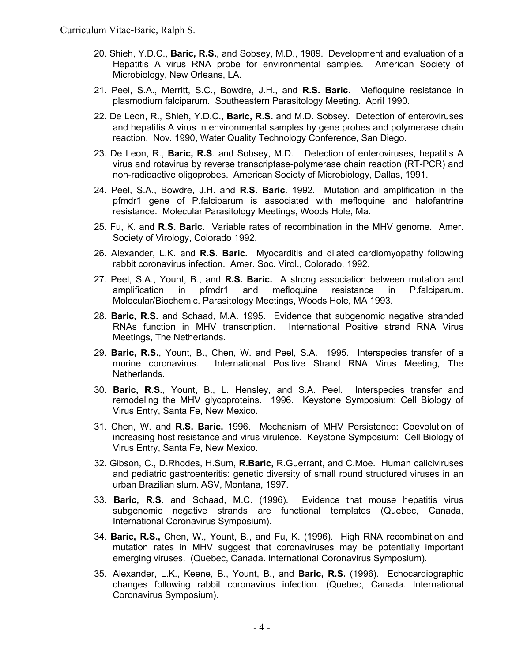- 20. Shieh, Y.D.C., **Baric, R.S.**, and Sobsey, M.D., 1989. Development and evaluation of a Hepatitis A virus RNA probe for environmental samples. American Society of Microbiology, New Orleans, LA.
- 21. Peel, S.A., Merritt, S.C., Bowdre, J.H., and **R.S. Baric**. Mefloquine resistance in plasmodium falciparum. Southeastern Parasitology Meeting. April 1990.
- 22. De Leon, R., Shieh, Y.D.C., **Baric, R.S.** and M.D. Sobsey. Detection of enteroviruses and hepatitis A virus in environmental samples by gene probes and polymerase chain reaction. Nov. 1990, Water Quality Technology Conference, San Diego.
- 23. De Leon, R., **Baric, R.S**. and Sobsey, M.D. Detection of enteroviruses, hepatitis A virus and rotavirus by reverse transcriptase-polymerase chain reaction (RT-PCR) and non-radioactive oligoprobes. American Society of Microbiology, Dallas, 1991.
- 24. Peel, S.A., Bowdre, J.H. and **R.S. Baric**. 1992. Mutation and amplification in the pfmdr1 gene of P.falciparum is associated with mefloquine and halofantrine resistance. Molecular Parasitology Meetings, Woods Hole, Ma.
- 25. Fu, K. and **R.S. Baric.** Variable rates of recombination in the MHV genome. Amer. Society of Virology, Colorado 1992.
- 26. Alexander, L.K. and **R.S. Baric.** Myocarditis and dilated cardiomyopathy following rabbit coronavirus infection. Amer. Soc. Virol., Colorado, 1992.
- 27. Peel, S.A., Yount, B., and **R.S. Baric.** A strong association between mutation and amplification in pfmdr1 and mefloquine resistance in P.falciparum. Molecular/Biochemic. Parasitology Meetings, Woods Hole, MA 1993.
- 28. **Baric, R.S.** and Schaad, M.A. 1995. Evidence that subgenomic negative stranded RNAs function in MHV transcription. International Positive strand RNA Virus Meetings, The Netherlands.
- 29. **Baric, R.S.**, Yount, B., Chen, W. and Peel, S.A. 1995. Interspecies transfer of a murine coronavirus. International Positive Strand RNA Virus Meeting, The Netherlands.
- 30. **Baric, R.S.**, Yount, B., L. Hensley, and S.A. Peel. Interspecies transfer and remodeling the MHV glycoproteins. 1996. Keystone Symposium: Cell Biology of Virus Entry, Santa Fe, New Mexico.
- 31. Chen, W. and **R.S. Baric.** 1996. Mechanism of MHV Persistence: Coevolution of increasing host resistance and virus virulence. Keystone Symposium: Cell Biology of Virus Entry, Santa Fe, New Mexico.
- 32. Gibson, C., D.Rhodes, H.Sum, **R.Baric,** R.Guerrant, and C.Moe. Human caliciviruses and pediatric gastroenteritis: genetic diversity of small round structured viruses in an urban Brazilian slum. ASV, Montana, 1997.
- 33. **Baric, R.S**. and Schaad, M.C. (1996). Evidence that mouse hepatitis virus subgenomic negative strands are functional templates (Quebec, Canada, International Coronavirus Symposium).
- 34. **Baric, R.S.,** Chen, W., Yount, B., and Fu, K. (1996). High RNA recombination and mutation rates in MHV suggest that coronaviruses may be potentially important emerging viruses. (Quebec, Canada. International Coronavirus Symposium).
- 35. Alexander, L.K., Keene, B., Yount, B., and **Baric, R.S.** (1996). Echocardiographic changes following rabbit coronavirus infection. (Quebec, Canada. International Coronavirus Symposium).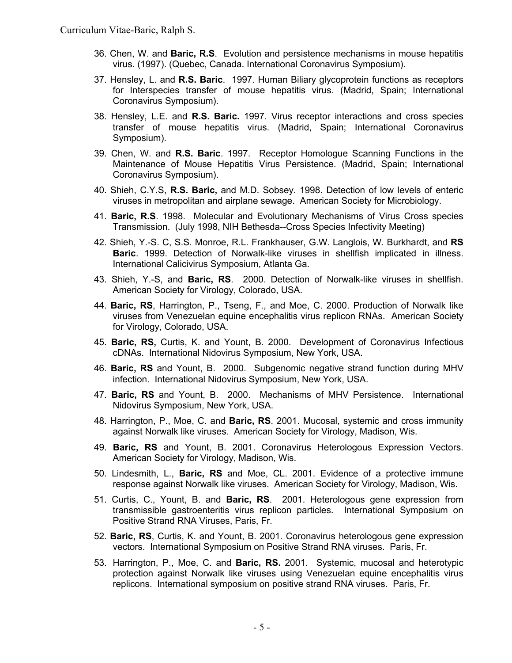- 36. Chen, W. and **Baric, R.S**. Evolution and persistence mechanisms in mouse hepatitis virus. (1997). (Quebec, Canada. International Coronavirus Symposium).
- 37. Hensley, L. and **R.S. Baric**. 1997. Human Biliary glycoprotein functions as receptors for Interspecies transfer of mouse hepatitis virus. (Madrid, Spain; International Coronavirus Symposium).
- 38. Hensley, L.E. and **R.S. Baric.** 1997. Virus receptor interactions and cross species transfer of mouse hepatitis virus. (Madrid, Spain; International Coronavirus Symposium).
- 39. Chen, W. and **R.S. Baric**. 1997. Receptor Homologue Scanning Functions in the Maintenance of Mouse Hepatitis Virus Persistence. (Madrid, Spain; International Coronavirus Symposium).
- 40. Shieh, C.Y.S, **R.S. Baric,** and M.D. Sobsey. 1998. Detection of low levels of enteric viruses in metropolitan and airplane sewage. American Society for Microbiology.
- 41. **Baric, R.S**. 1998. Molecular and Evolutionary Mechanisms of Virus Cross species Transmission. (July 1998, NIH Bethesda--Cross Species Infectivity Meeting)
- 42. Shieh, Y.-S. C, S.S. Monroe, R.L. Frankhauser, G.W. Langlois, W. Burkhardt, and **RS Baric**. 1999. Detection of Norwalk-like viruses in shellfish implicated in illness. International Calicivirus Symposium, Atlanta Ga.
- 43. Shieh, Y.-S, and **Baric, RS**. 2000. Detection of Norwalk-like viruses in shellfish. American Society for Virology, Colorado, USA.
- 44. **Baric, RS**, Harrington, P., Tseng, F., and Moe, C. 2000. Production of Norwalk like viruses from Venezuelan equine encephalitis virus replicon RNAs. American Society for Virology, Colorado, USA.
- 45. **Baric, RS,** Curtis, K. and Yount, B. 2000. Development of Coronavirus Infectious cDNAs. International Nidovirus Symposium, New York, USA.
- 46. **Baric, RS** and Yount, B. 2000. Subgenomic negative strand function during MHV infection. International Nidovirus Symposium, New York, USA.
- 47. **Baric, RS** and Yount, B. 2000. Mechanisms of MHV Persistence. International Nidovirus Symposium, New York, USA.
- 48. Harrington, P., Moe, C. and **Baric, RS**. 2001. Mucosal, systemic and cross immunity against Norwalk like viruses. American Society for Virology, Madison, Wis.
- 49. **Baric, RS** and Yount, B. 2001. Coronavirus Heterologous Expression Vectors. American Society for Virology, Madison, Wis.
- 50. Lindesmith, L., **Baric, RS** and Moe, CL. 2001. Evidence of a protective immune response against Norwalk like viruses. American Society for Virology, Madison, Wis.
- 51. Curtis, C., Yount, B. and **Baric, RS**. 2001. Heterologous gene expression from transmissible gastroenteritis virus replicon particles. International Symposium on Positive Strand RNA Viruses, Paris, Fr.
- 52. **Baric, RS**, Curtis, K. and Yount, B. 2001. Coronavirus heterologous gene expression vectors. International Symposium on Positive Strand RNA viruses. Paris, Fr.
- 53. Harrington, P., Moe, C. and **Baric, RS.** 2001. Systemic, mucosal and heterotypic protection against Norwalk like viruses using Venezuelan equine encephalitis virus replicons. International symposium on positive strand RNA viruses. Paris, Fr.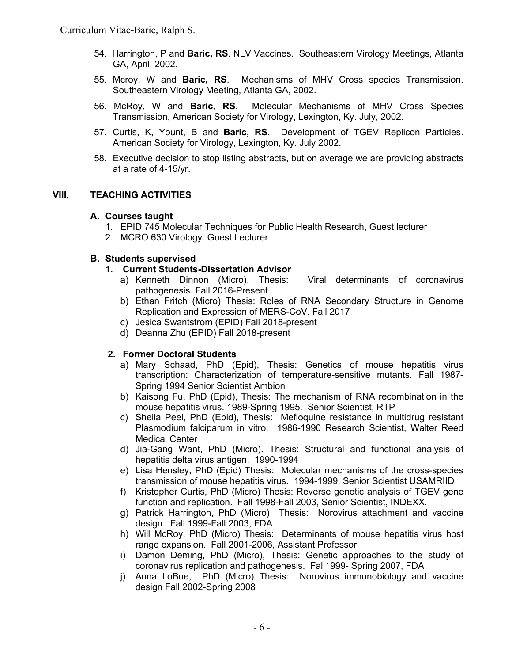- 54. Harrington, P and **Baric, RS**. NLV Vaccines. Southeastern Virology Meetings, Atlanta GA, April, 2002.
- 55. Mcroy, W and **Baric, RS**. Mechanisms of MHV Cross species Transmission. Southeastern Virology Meeting, Atlanta GA, 2002.
- 56. McRoy, W and **Baric, RS**. Molecular Mechanisms of MHV Cross Species Transmission, American Society for Virology, Lexington, Ky. July, 2002.
- 57. Curtis, K, Yount, B and **Baric, RS**. Development of TGEV Replicon Particles. American Society for Virology, Lexington, Ky. July 2002.
- 58. Executive decision to stop listing abstracts, but on average we are providing abstracts at a rate of 4-15/yr.

# **VIII. TEACHING ACTIVITIES**

## **A. Courses taught**

- 1. EPID 745 Molecular Techniques for Public Health Research, Guest lecturer
- 2. MCRO 630 Virology. Guest Lecturer

## **B. Students supervised**

- **1. Current Students-Dissertation Advisor**
	- a) Kenneth Dinnon (Micro). Thesis: Viral determinants of coronavirus pathogenesis. Fall 2016-Present
	- b) Ethan Fritch (Micro) Thesis: Roles of RNA Secondary Structure in Genome Replication and Expression of MERS-CoV. Fall 2017
	- c) Jesica Swantstrom (EPID) Fall 2018-present
	- d) Deanna Zhu (EPID) Fall 2018-present

## **2. Former Doctoral Students**

- a) Mary Schaad, PhD (Epid), Thesis: Genetics of mouse hepatitis virus transcription: Characterization of temperature-sensitive mutants. Fall 1987- Spring 1994 Senior Scientist Ambion
- b) Kaisong Fu, PhD (Epid), Thesis: The mechanism of RNA recombination in the mouse hepatitis virus. 1989-Spring 1995. Senior Scientist, RTP
- c) Sheila Peel, PhD (Epid), Thesis: Mefloquine resistance in multidrug resistant Plasmodium falciparum in vitro. 1986-1990 Research Scientist, Walter Reed Medical Center
- d) Jia-Gang Want, PhD (Micro). Thesis: Structural and functional analysis of hepatitis delta virus antigen. 1990-1994
- e) Lisa Hensley, PhD (Epid) Thesis: Molecular mechanisms of the cross-species transmission of mouse hepatitis virus. 1994-1999, Senior Scientist USAMRIID
- f) Kristopher Curtis, PhD (Micro) Thesis: Reverse genetic analysis of TGEV gene function and replication. Fall 1998-Fall 2003, Senior Scientist, INDEXX.
- g) Patrick Harrington, PhD (Micro) Thesis: Norovirus attachment and vaccine design. Fall 1999-Fall 2003, FDA
- h) Will McRoy, PhD (Micro) Thesis: Determinants of mouse hepatitis virus host range expansion. Fall 2001-2006, Assistant Professor
- i) Damon Deming, PhD (Micro), Thesis: Genetic approaches to the study of coronavirus replication and pathogenesis. Fall1999- Spring 2007, FDA
- j) Anna LoBue, PhD (Micro) Thesis: Norovirus immunobiology and vaccine design Fall 2002-Spring 2008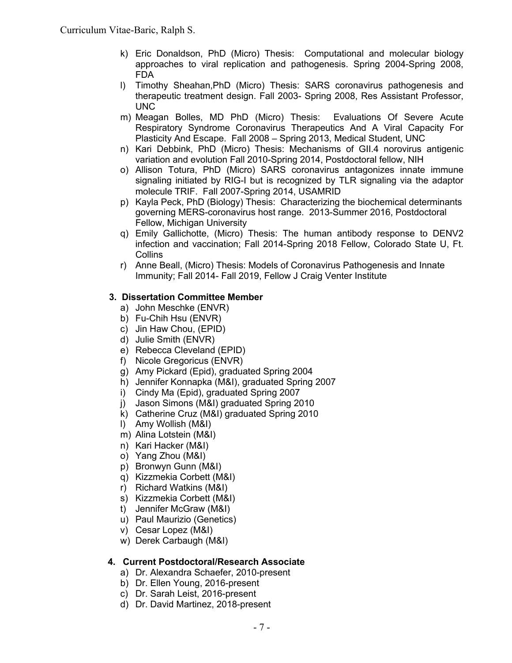- k) Eric Donaldson, PhD (Micro) Thesis: Computational and molecular biology approaches to viral replication and pathogenesis. Spring 2004-Spring 2008, FDA
- l) Timothy Sheahan,PhD (Micro) Thesis: SARS coronavirus pathogenesis and therapeutic treatment design. Fall 2003- Spring 2008, Res Assistant Professor, UNC
- m) Meagan Bolles, MD PhD (Micro) Thesis: Evaluations Of Severe Acute Respiratory Syndrome Coronavirus Therapeutics And A Viral Capacity For Plasticity And Escape. Fall 2008 – Spring 2013, Medical Student, UNC
- n) Kari Debbink, PhD (Micro) Thesis: Mechanisms of GII.4 norovirus antigenic variation and evolution Fall 2010-Spring 2014, Postdoctoral fellow, NIH
- o) Allison Totura, PhD (Micro) SARS coronavirus antagonizes innate immune signaling initiated by RIG-I but is recognized by TLR signaling via the adaptor molecule TRIF. Fall 2007-Spring 2014, USAMRID
- p) Kayla Peck, PhD (Biology) Thesis: Characterizing the biochemical determinants governing MERS-coronavirus host range. 2013-Summer 2016, Postdoctoral Fellow, Michigan University
- q) Emily Gallichotte, (Micro) Thesis: The human antibody response to DENV2 infection and vaccination; Fall 2014-Spring 2018 Fellow, Colorado State U, Ft. Collins
- r) Anne Beall, (Micro) Thesis: Models of Coronavirus Pathogenesis and Innate Immunity; Fall 2014- Fall 2019, Fellow J Craig Venter Institute

# **3. Dissertation Committee Member**

- a) John Meschke (ENVR)
- b) Fu-Chih Hsu (ENVR)
- c) Jin Haw Chou, (EPID)
- d) Julie Smith (ENVR)
- e) Rebecca Cleveland (EPID)
- f) Nicole Gregoricus (ENVR)
- g) Amy Pickard (Epid), graduated Spring 2004
- h) Jennifer Konnapka (M&I), graduated Spring 2007
- i) Cindy Ma (Epid), graduated Spring 2007
- j) Jason Simons (M&I) graduated Spring 2010
- k) Catherine Cruz (M&I) graduated Spring 2010
- l) Amy Wollish (M&I)
- m) Alina Lotstein (M&I)
- n) Kari Hacker (M&I)
- o) Yang Zhou (M&I)
- p) Bronwyn Gunn (M&I)
- q) Kizzmekia Corbett (M&I)
- r) Richard Watkins (M&I)
- s) Kizzmekia Corbett (M&I)
- t) Jennifer McGraw (M&I)
- u) Paul Maurizio (Genetics)
- v) Cesar Lopez (M&I)
- w) Derek Carbaugh (M&I)

# **4. Current Postdoctoral/Research Associate**

- a) Dr. Alexandra Schaefer, 2010-present
- b) Dr. Ellen Young, 2016-present
- c) Dr. Sarah Leist, 2016-present
- d) Dr. David Martinez, 2018-present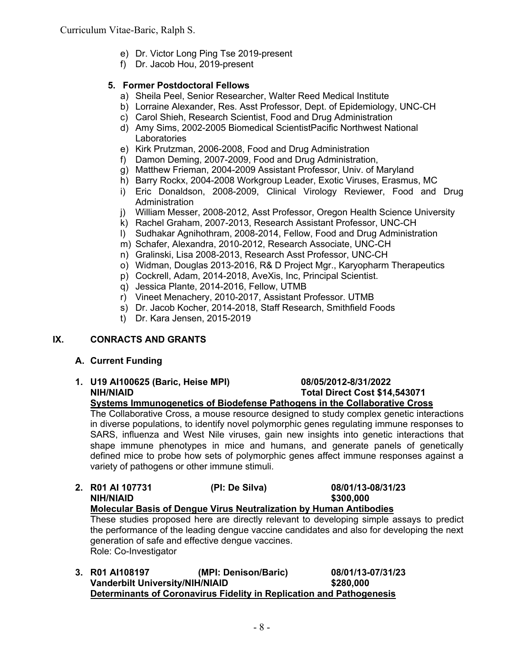- e) Dr. Victor Long Ping Tse 2019-present
- f) Dr. Jacob Hou, 2019-present

# **5. Former Postdoctoral Fellows**

- a) Sheila Peel, Senior Researcher, Walter Reed Medical Institute
- b) Lorraine Alexander, Res. Asst Professor, Dept. of Epidemiology, UNC-CH
- c) Carol Shieh, Research Scientist, Food and Drug Administration
- d) Amy Sims, 2002-2005 Biomedical ScientistPacific Northwest National Laboratories
- e) Kirk Prutzman, 2006-2008, Food and Drug Administration
- f) Damon Deming, 2007-2009, Food and Drug Administration,
- g) Matthew Frieman, 2004-2009 Assistant Professor, Univ. of Maryland
- h) Barry Rockx, 2004-2008 Workgroup Leader, Exotic Viruses, Erasmus, MC
- i) Eric Donaldson, 2008-2009, Clinical Virology Reviewer, Food and Drug Administration
- j) William Messer, 2008-2012, Asst Professor, Oregon Health Science University
- k) Rachel Graham, 2007-2013, Research Assistant Professor, UNC-CH
- l) Sudhakar Agnihothram, 2008-2014, Fellow, Food and Drug Administration
- m) Schafer, Alexandra, 2010-2012, Research Associate, UNC-CH
- n) Gralinski, Lisa 2008-2013, Research Asst Professor, UNC-CH
- o) Widman, Douglas 2013-2016, R& D Project Mgr., Karyopharm Therapeutics
- p) Cockrell, Adam, 2014-2018, AveXis, Inc, Principal Scientist.
- q) Jessica Plante, 2014-2016, Fellow, UTMB
- r) Vineet Menachery, 2010-2017, Assistant Professor. UTMB
- s) Dr. Jacob Kocher, 2014-2018, Staff Research, Smithfield Foods
- t) Dr. Kara Jensen, 2015-2019

# **IX. CONRACTS AND GRANTS**

# **A. Current Funding**

**1. U19 AI100625 (Baric, Heise MPI) 08/05/2012-8/31/2022 NIH/NIAID Total Direct Cost \$14,543071**

# **Systems Immunogenetics of Biodefense Pathogens in the Collaborative Cross**

The Collaborative Cross, a mouse resource designed to study complex genetic interactions in diverse populations, to identify novel polymorphic genes regulating immune responses to SARS, influenza and West Nile viruses, gain new insights into genetic interactions that shape immune phenotypes in mice and humans, and generate panels of genetically defined mice to probe how sets of polymorphic genes affect immune responses against a variety of pathogens or other immune stimuli.

- **2. R01 AI 107731 (PI: De Silva) 08/01/13-08/31/23 NIH/NIAID \$300,000 Molecular Basis of Dengue Virus Neutralization by Human Antibodies** These studies proposed here are directly relevant to developing simple assays to predict the performance of the leading dengue vaccine candidates and also for developing the next generation of safe and effective dengue vaccines. Role: Co-Investigator
- **3. R01 AI108197 (MPI: Denison/Baric) 08/01/13-07/31/23 Vanderbilt University/NIH/NIAID \$280,000 Determinants of Coronavirus Fidelity in Replication and Pathogenesis**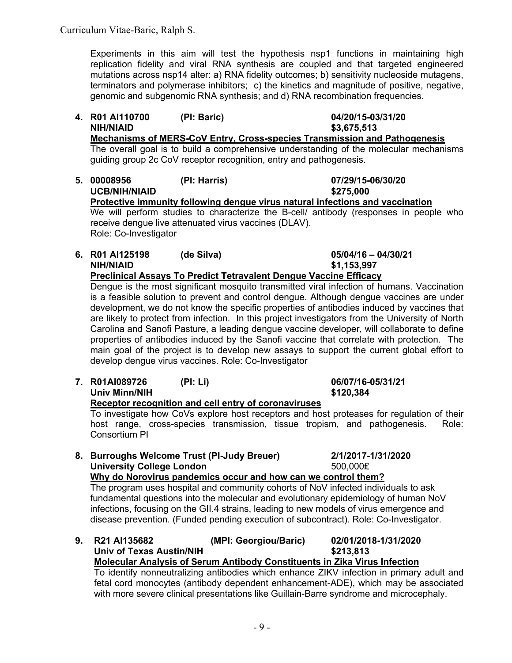Experiments in this aim will test the hypothesis nsp1 functions in maintaining high replication fidelity and viral RNA synthesis are coupled and that targeted engineered mutations across nsp14 alter: a) RNA fidelity outcomes; b) sensitivity nucleoside mutagens, terminators and polymerase inhibitors; c) the kinetics and magnitude of positive, negative, genomic and subgenomic RNA synthesis; and d) RNA recombination frequencies.

- **4. R01 AI110700 (PI: Baric) 04/20/15-03/31/20 NIH/NIAID \$3,675,513 Mechanisms of MERS-CoV Entry, Cross-species Transmission and Pathogenesis** The overall goal is to build a comprehensive understanding of the molecular mechanisms guiding group 2c CoV receptor recognition, entry and pathogenesis.
- **5. 00008956 (PI: Harris) 07/29/15-06/30/20 UCB/NIH/NIAID \$275,000 Protective immunity following dengue virus natural infections and vaccination**  We will perform studies to characterize the B-cell/ antibody (responses in people who receive dengue live attenuated virus vaccines (DLAV). Role: Co-Investigator
- **6. R01 AI125198 (de Silva) 05/04/16 – 04/30/21 NIH/NIAID \$1,153,997 Preclinical Assays To Predict Tetravalent Dengue Vaccine Efficacy**

Dengue is the most significant mosquito transmitted viral infection of humans. Vaccination is a feasible solution to prevent and control dengue. Although dengue vaccines are under development, we do not know the specific properties of antibodies induced by vaccines that are likely to protect from infection. In this project investigators from the University of North Carolina and Sanofi Pasture, a leading dengue vaccine developer, will collaborate to define properties of antibodies induced by the Sanofi vaccine that correlate with protection. The main goal of the project is to develop new assays to support the current global effort to develop dengue virus vaccines. Role: Co-Investigator

**7. R01AI089726 (PI: Li) 06/07/16-05/31/21 Univ Minn/NIH \$120,384 Receptor recognition and cell entry of coronaviruses**

To investigate how CoVs explore host receptors and host proteases for regulation of their host range, cross-species transmission, tissue tropism, and pathogenesis. Role: Consortium PI

**8. Burroughs Welcome Trust (PI-Judy Breuer) 2/1/2017-1/31/2020 University College London** 500,000₤

**Why do Norovirus pandemics occur and how can we control them?**

The program uses hospital and community cohorts of NoV infected individuals to ask fundamental questions into the molecular and evolutionary epidemiology of human NoV infections, focusing on the GII.4 strains, leading to new models of virus emergence and disease prevention. (Funded pending execution of subcontract). Role: Co-Investigator.

**9. R21 AI135682 (MPI: Georgiou/Baric) 02/01/2018-1/31/2020** Univ of Texas Austin/NIH **\$213,813 Molecular Analysis of Serum Antibody Constituents in Zika Virus Infection**

To identify nonneutralizing antibodies which enhance ZIKV infection in primary adult and fetal cord monocytes (antibody dependent enhancement-ADE), which may be associated with more severe clinical presentations like Guillain-Barre syndrome and microcephaly.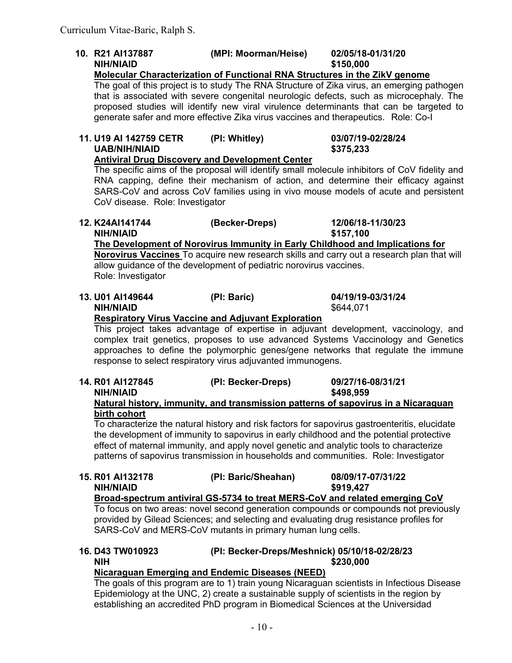**10. R21 AI137887 (MPI: Moorman/Heise) 02/05/18-01/31/20 NIH/NIAID \$150,000 Molecular Characterization of Functional RNA Structures in the ZikV genome** The goal of this project is to study The RNA Structure of Zika virus, an emerging pathogen that is associated with severe congenital neurologic defects, such as microcephaly. The proposed studies will identify new viral virulence determinants that can be targeted to generate safer and more effective Zika virus vaccines and therapeutics. Role: Co-I **11. U19 AI 142759 CETR (PI: Whitley) 03/07/19-02/28/24 UAB/NIH/NIAID \$375,233 Antiviral Drug Discovery and Development Center** The specific aims of the proposal will identify small molecule inhibitors of CoV fidelity and RNA capping, define their mechanism of action, and determine their efficacy against SARS-CoV and across CoV families using in vivo mouse models of acute and persistent CoV disease. Role: Investigator **12. K24AI141744 (Becker-Dreps) 12/06/18-11/30/23 NIH/NIAID \$157,100 The Development of Norovirus Immunity in Early Childhood and Implications for Norovirus Vaccines** To acquire new research skills and carry out a research plan that will allow guidance of the development of pediatric norovirus vaccines. Role: Investigator **13. U01 AI149644 (PI: Baric) 04/19/19-03/31/24 NIH/NIAID** \$644.071 **Respiratory Virus Vaccine and Adjuvant Exploration** This project takes advantage of expertise in adjuvant development, vaccinology, and complex trait genetics, proposes to use advanced Systems Vaccinology and Genetics approaches to define the polymorphic genes/gene networks that regulate the immune response to select respiratory virus adjuvanted immunogens. **14. R01 AI127845 (PI: Becker-Dreps) 09/27/16-08/31/21 NIH/NIAID \$498,959 Natural history, immunity, and transmission patterns of sapovirus in a Nicaraguan birth cohort** To characterize the natural history and risk factors for sapovirus gastroenteritis, elucidate the development of immunity to sapovirus in early childhood and the potential protective effect of maternal immunity, and apply novel genetic and analytic tools to characterize patterns of sapovirus transmission in households and communities. Role: Investigator **15. R01 AI132178 (PI: Baric/Sheahan) 08/09/17-07/31/22 NIH/NIAID \$919,427 Broad-spectrum antiviral GS-5734 to treat MERS-CoV and related emerging CoV** To focus on two areas: novel second generation compounds or compounds not previously provided by Gilead Sciences; and selecting and evaluating drug resistance profiles for SARS-CoV and MERS-CoV mutants in primary human lung cells. **16. D43 TW010923 (PI: Becker-Dreps/Meshnick) 05/10/18-02/28/23 NIH \$230,000 Nicaraguan Emerging and Endemic Diseases (NEED)**

The goals of this program are to 1) train young Nicaraguan scientists in Infectious Disease Epidemiology at the UNC, 2) create a sustainable supply of scientists in the region by establishing an accredited PhD program in Biomedical Sciences at the Universidad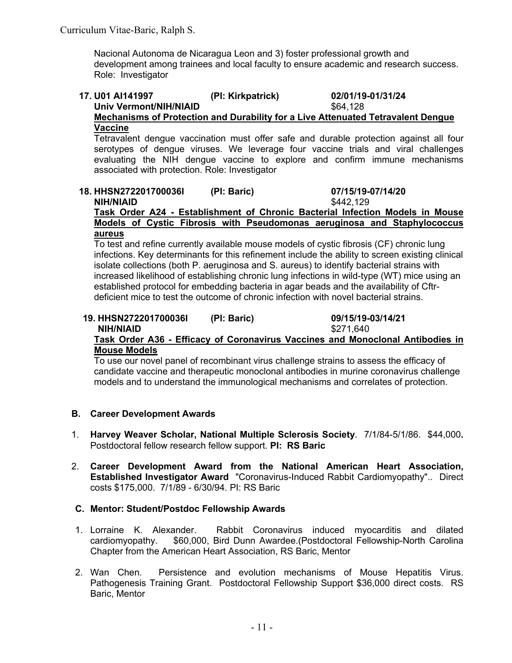Nacional Autonoma de Nicaragua Leon and 3) foster professional growth and development among trainees and local faculty to ensure academic and research success. Role: Investigator

### **17. U01 AI141997 (PI: Kirkpatrick) 02/01/19-01/31/24** Univ Vermont/NIH/NIAID **\$64,128 Mechanisms of Protection and Durability for a Live Attenuated Tetravalent Dengue**

**Vaccine** Tetravalent dengue vaccination must offer safe and durable protection against all four serotypes of dengue viruses. We leverage four vaccine trials and viral challenges evaluating the NIH dengue vaccine to explore and confirm immune mechanisms associated with protection. Role: Investigator

### **18. HHSN272201700036I (PI: Baric) 07/15/19-07/14/20 NIH/NIAID** \$442,129 **Task Order A24 - Establishment of Chronic Bacterial Infection Models in Mouse Models of Cystic Fibrosis with Pseudomonas aeruginosa and Staphylococcus**

#### **aureus**

To test and refine currently available mouse models of cystic fibrosis (CF) chronic lung infections. Key determinants for this refinement include the ability to screen existing clinical isolate collections (both P. aeruginosa and S. aureus) to identify bacterial strains with increased likelihood of establishing chronic lung infections in wild-type (WT) mice using an established protocol for embedding bacteria in agar beads and the availability of Cftrdeficient mice to test the outcome of chronic infection with novel bacterial strains.

### **19. HHSN272201700036I (PI: Baric) 09/15/19-03/14/21 NIH/NIAID** \$271,640 **Task Order A36 - Efficacy of Coronavirus Vaccines and Monoclonal Antibodies in Mouse Models**

To use our novel panel of recombinant virus challenge strains to assess the efficacy of candidate vaccine and therapeutic monoclonal antibodies in murine coronavirus challenge models and to understand the immunological mechanisms and correlates of protection.

# **B. Career Development Awards**

- 1. **Harvey Weaver Scholar, National Multiple Sclerosis Society**. 7/1/84-5/1/86. \$44,000**.**  Postdoctoral fellow research fellow support. **PI: RS Baric**
- 2. **Career Development Award from the National American Heart Association, Established Investigator Award** "Coronavirus-Induced Rabbit Cardiomyopathy".. Direct costs \$175,000. 7/1/89 - 6/30/94. PI: RS Baric

## **C. Mentor: Student/Postdoc Fellowship Awards**

- 1. Lorraine K. Alexander. Rabbit Coronavirus induced myocarditis and dilated cardiomyopathy. \$60,000, Bird Dunn Awardee.(Postdoctoral Fellowship-North Carolina Chapter from the American Heart Association, RS Baric, Mentor
- 2. Wan Chen. Persistence and evolution mechanisms of Mouse Hepatitis Virus. Pathogenesis Training Grant. Postdoctoral Fellowship Support \$36,000 direct costs. RS Baric, Mentor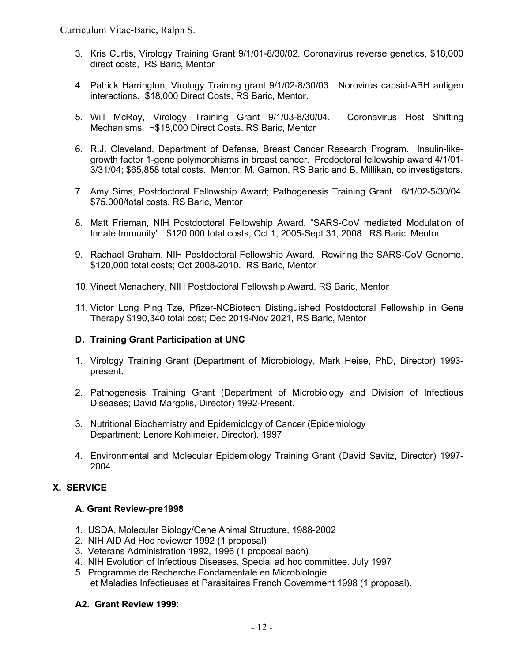Curriculum Vitae-Baric, Ralph S.

- 3. Kris Curtis, Virology Training Grant 9/1/01-8/30/02. Coronavirus reverse genetics, \$18,000 direct costs, RS Baric, Mentor
- 4. Patrick Harrington, Virology Training grant 9/1/02-8/30/03. Norovirus capsid-ABH antigen interactions. \$18,000 Direct Costs, RS Baric, Mentor.
- 5. Will McRoy, Virology Training Grant 9/1/03-8/30/04. Coronavirus Host Shifting Mechanisms. ~\$18,000 Direct Costs. RS Baric, Mentor
- 6. R.J. Cleveland, Department of Defense, Breast Cancer Research Program. Insulin-likegrowth factor 1-gene polymorphisms in breast cancer. Predoctoral fellowship award 4/1/01- 3/31/04; \$65,858 total costs. Mentor: M. Gamon, RS Baric and B. Millikan, co investigators.
- 7. Amy Sims, Postdoctoral Fellowship Award; Pathogenesis Training Grant. 6/1/02-5/30/04. \$75,000/total costs. RS Baric, Mentor
- 8. Matt Frieman, NIH Postdoctoral Fellowship Award, "SARS-CoV mediated Modulation of Innate Immunity". \$120,000 total costs; Oct 1, 2005-Sept 31, 2008. RS Baric, Mentor
- 9. Rachael Graham, NIH Postdoctoral Fellowship Award. Rewiring the SARS-CoV Genome. \$120,000 total costs; Oct 2008-2010. RS Baric, Mentor
- 10. Vineet Menachery, NIH Postdoctoral Fellowship Award. RS Baric, Mentor
- 11. Victor Long Ping Tze, Pfizer-NCBiotech Distinguished Postdoctoral Fellowship in Gene Therapy \$190,340 total cost; Dec 2019-Nov 2021, RS Baric, Mentor

## **D. Training Grant Participation at UNC**

- 1. Virology Training Grant (Department of Microbiology, Mark Heise, PhD, Director) 1993 present.
- 2. Pathogenesis Training Grant (Department of Microbiology and Division of Infectious Diseases; David Margolis, Director) 1992-Present.
- 3. Nutritional Biochemistry and Epidemiology of Cancer (Epidemiology Department; Lenore Kohlmeier, Director). 1997
- 4. Environmental and Molecular Epidemiology Training Grant (David Savitz, Director) 1997- 2004.

# **X. SERVICE**

## **A. Grant Review-pre1998**

- 1. USDA, Molecular Biology/Gene Animal Structure, 1988-2002
- 2. NIH AID Ad Hoc reviewer 1992 (1 proposal)
- 3. Veterans Administration 1992, 1996 (1 proposal each)
- 4. NIH Evolution of Infectious Diseases, Special ad hoc committee. July 1997
- 5. Programme de Recherche Fondamentale en Microbiologie et Maladies Infectieuses et Parasitaires French Government 1998 (1 proposal).

## **A2. Grant Review 1999**: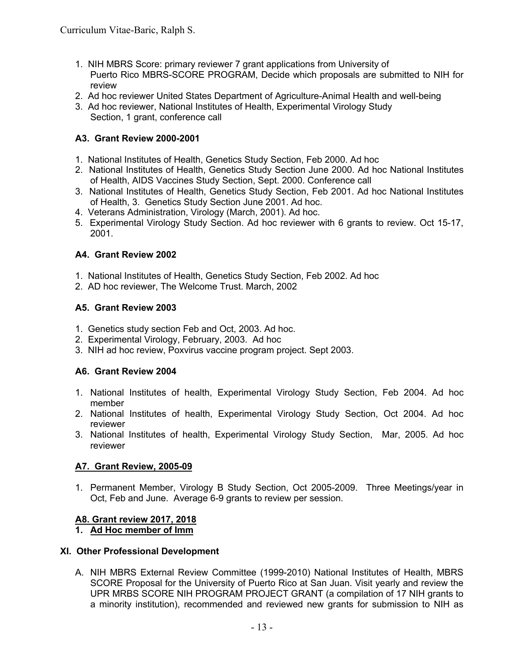- 1. NIH MBRS Score: primary reviewer 7 grant applications from University of Puerto Rico MBRS-SCORE PROGRAM, Decide which proposals are submitted to NIH for review
- 2. Ad hoc reviewer United States Department of Agriculture-Animal Health and well-being
- 3. Ad hoc reviewer, National Institutes of Health, Experimental Virology Study Section, 1 grant, conference call

# **A3. Grant Review 2000-2001**

- 1. National Institutes of Health, Genetics Study Section, Feb 2000. Ad hoc
- 2. National Institutes of Health, Genetics Study Section June 2000. Ad hoc National Institutes of Health, AIDS Vaccines Study Section, Sept. 2000. Conference call
- 3. National Institutes of Health, Genetics Study Section, Feb 2001. Ad hoc National Institutes of Health, 3. Genetics Study Section June 2001. Ad hoc.
- 4. Veterans Administration, Virology (March, 2001). Ad hoc.
- 5. Experimental Virology Study Section. Ad hoc reviewer with 6 grants to review. Oct 15-17, 2001.

# **A4. Grant Review 2002**

- 1. National Institutes of Health, Genetics Study Section, Feb 2002. Ad hoc
- 2. AD hoc reviewer, The Welcome Trust. March, 2002

# **A5. Grant Review 2003**

- 1. Genetics study section Feb and Oct, 2003. Ad hoc.
- 2. Experimental Virology, February, 2003. Ad hoc
- 3. NIH ad hoc review, Poxvirus vaccine program project. Sept 2003.

# **A6. Grant Review 2004**

- 1. National Institutes of health, Experimental Virology Study Section, Feb 2004. Ad hoc member
- 2. National Institutes of health, Experimental Virology Study Section, Oct 2004. Ad hoc reviewer
- 3. National Institutes of health, Experimental Virology Study Section, Mar, 2005. Ad hoc reviewer

# **A7. Grant Review, 2005-09**

1. Permanent Member, Virology B Study Section, Oct 2005-2009. Three Meetings/year in Oct, Feb and June. Average 6-9 grants to review per session.

# **A8. Grant review 2017, 2018**

# **1. Ad Hoc member of Imm**

# **XI. Other Professional Development**

A. NIH MBRS External Review Committee (1999-2010) National Institutes of Health, MBRS SCORE Proposal for the University of Puerto Rico at San Juan. Visit yearly and review the UPR MRBS SCORE NIH PROGRAM PROJECT GRANT (a compilation of 17 NIH grants to a minority institution), recommended and reviewed new grants for submission to NIH as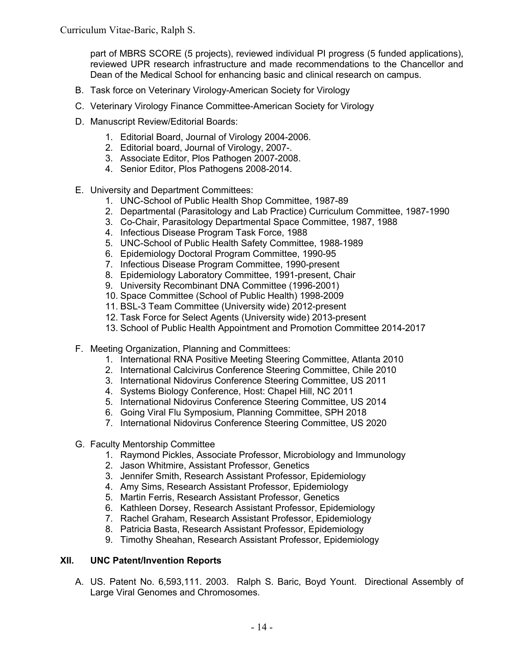part of MBRS SCORE (5 projects), reviewed individual PI progress (5 funded applications), reviewed UPR research infrastructure and made recommendations to the Chancellor and Dean of the Medical School for enhancing basic and clinical research on campus.

- B. Task force on Veterinary Virology-American Society for Virology
- C. Veterinary Virology Finance Committee-American Society for Virology
- D. Manuscript Review/Editorial Boards:
	- 1. Editorial Board, Journal of Virology 2004-2006.
	- 2. Editorial board, Journal of Virology, 2007-.
	- 3. Associate Editor, Plos Pathogen 2007-2008.
	- 4. Senior Editor, Plos Pathogens 2008-2014.
- E. University and Department Committees:
	- 1. UNC-School of Public Health Shop Committee, 1987-89
	- 2. Departmental (Parasitology and Lab Practice) Curriculum Committee, 1987-1990
	- 3. Co-Chair, Parasitology Departmental Space Committee, 1987, 1988
	- 4. Infectious Disease Program Task Force, 1988
	- 5. UNC-School of Public Health Safety Committee, 1988-1989
	- 6. Epidemiology Doctoral Program Committee, 1990-95
	- 7. Infectious Disease Program Committee, 1990-present
	- 8. Epidemiology Laboratory Committee, 1991-present, Chair
	- 9. University Recombinant DNA Committee (1996-2001)
	- 10. Space Committee (School of Public Health) 1998-2009
	- 11. BSL-3 Team Committee (University wide) 2012-present
	- 12. Task Force for Select Agents (University wide) 2013-present
	- 13. School of Public Health Appointment and Promotion Committee 2014-2017
- F. Meeting Organization, Planning and Committees:
	- 1. International RNA Positive Meeting Steering Committee, Atlanta 2010
	- 2. International Calcivirus Conference Steering Committee, Chile 2010
	- 3. International Nidovirus Conference Steering Committee, US 2011
	- 4. Systems Biology Conference, Host: Chapel Hill, NC 2011
	- 5. International Nidovirus Conference Steering Committee, US 2014
	- 6. Going Viral Flu Symposium, Planning Committee, SPH 2018
	- 7. International Nidovirus Conference Steering Committee, US 2020
- G. Faculty Mentorship Committee
	- 1. Raymond Pickles, Associate Professor, Microbiology and Immunology
	- 2. Jason Whitmire, Assistant Professor, Genetics
	- 3. Jennifer Smith, Research Assistant Professor, Epidemiology
	- 4. Amy Sims, Research Assistant Professor, Epidemiology
	- 5. Martin Ferris, Research Assistant Professor, Genetics
	- 6. Kathleen Dorsey, Research Assistant Professor, Epidemiology
	- 7. Rachel Graham, Research Assistant Professor, Epidemiology
	- 8. Patricia Basta, Research Assistant Professor, Epidemiology
	- 9. Timothy Sheahan, Research Assistant Professor, Epidemiology

## **XII. UNC Patent/Invention Reports**

A. US. Patent No. 6,593,111. 2003. Ralph S. Baric, Boyd Yount. Directional Assembly of Large Viral Genomes and Chromosomes.